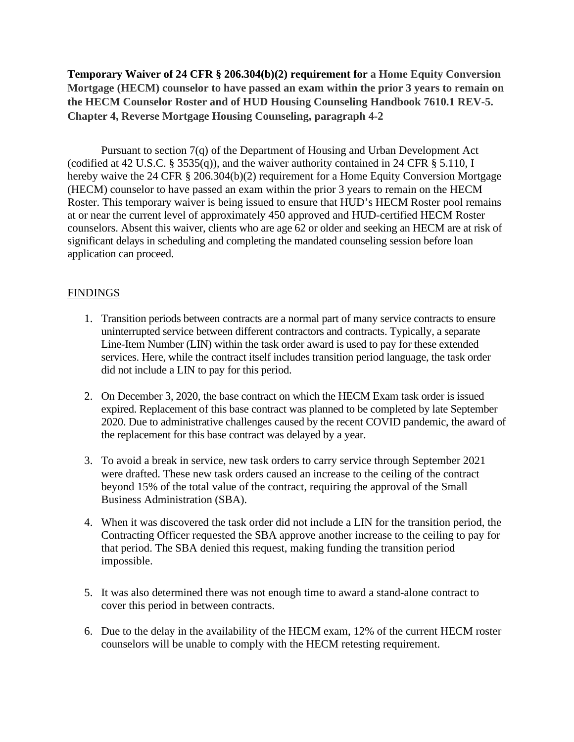**Temporary Waiver of 24 CFR § 206.304(b)(2) requirement for a Home Equity Conversion Mortgage (HECM) counselor to have passed an exam within the prior 3 years to remain on the HECM Counselor Roster and of HUD Housing Counseling Handbook 7610.1 REV-5. Chapter 4, Reverse Mortgage Housing Counseling, paragraph 4-2**

Pursuant to section 7(q) of the Department of Housing and Urban Development Act (codified at 42 U.S.C. § 3535(q)), and the waiver authority contained in 24 CFR § 5.110, I hereby waive the 24 CFR § 206.304(b)(2) requirement for a Home Equity Conversion Mortgage (HECM) counselor to have passed an exam within the prior 3 years to remain on the HECM Roster. This temporary waiver is being issued to ensure that HUD's HECM Roster pool remains at or near the current level of approximately 450 approved and HUD-certified HECM Roster counselors. Absent this waiver, clients who are age 62 or older and seeking an HECM are at risk of significant delays in scheduling and completing the mandated counseling session before loan application can proceed.

## **FINDINGS**

- 1. Transition periods between contracts are a normal part of many service contracts to ensure uninterrupted service between different contractors and contracts. Typically, a separate Line-Item Number (LIN) within the task order award is used to pay for these extended services. Here, while the contract itself includes transition period language, the task order did not include a LIN to pay for this period.
- 2. On December 3, 2020, the base contract on which the HECM Exam task order is issued expired. Replacement of this base contract was planned to be completed by late September 2020. Due to administrative challenges caused by the recent COVID pandemic, the award of the replacement for this base contract was delayed by a year.
- 3. To avoid a break in service, new task orders to carry service through September 2021 were drafted. These new task orders caused an increase to the ceiling of the contract beyond 15% of the total value of the contract, requiring the approval of the Small Business Administration (SBA).
- 4. When it was discovered the task order did not include a LIN for the transition period, the Contracting Officer requested the SBA approve another increase to the ceiling to pay for that period. The SBA denied this request, making funding the transition period impossible.
- 5. It was also determined there was not enough time to award a stand-alone contract to cover this period in between contracts.
- 6. Due to the delay in the availability of the HECM exam, 12% of the current HECM roster counselors will be unable to comply with the HECM retesting requirement.